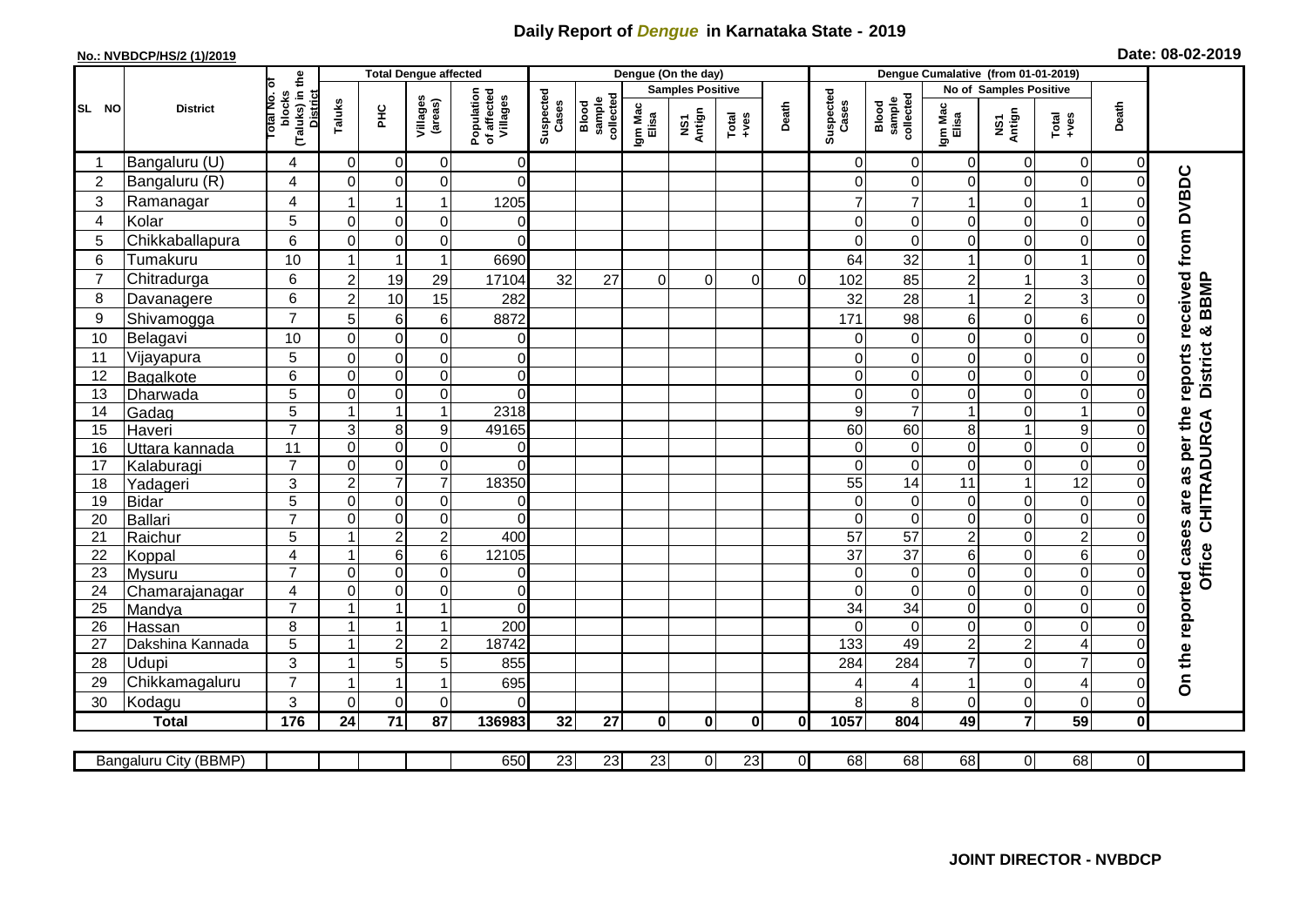## **Daily Report of** *Dengue* **in Karnataka State - 2019**

## **No.: NVBDCP/HS/2 (1)/2019**

| Date: 08-02-2019 |  |  |  |
|------------------|--|--|--|
|------------------|--|--|--|

|                |                       |                                           |                         | <b>Total Dengue affected</b> |                     |                                       |                    |                              | Dengue (On the day) |                         |                  |                |                    |                              |                         |                               |                         |                |                           |
|----------------|-----------------------|-------------------------------------------|-------------------------|------------------------------|---------------------|---------------------------------------|--------------------|------------------------------|---------------------|-------------------------|------------------|----------------|--------------------|------------------------------|-------------------------|-------------------------------|-------------------------|----------------|---------------------------|
|                |                       |                                           |                         |                              |                     |                                       |                    |                              |                     | <b>Samples Positive</b> |                  |                |                    |                              |                         | <b>No of Samples Positive</b> |                         |                |                           |
| SL NO          | <b>District</b>       | (Taluks) in the<br>lotal No. ol<br>blocks | Taluks                  | ЭH                           | Villages<br>(areas) | Population<br>of affected<br>Villages | Suspected<br>Cases | Blood<br>sample<br>collected | Igm Mac<br>Elisa    | NS1<br>Antign           | Total<br>$+ve$ s | Death          | Suspected<br>Cases | sample<br>collected<br>Blood | Igm Mac<br>Elisa        | NS1<br>Antign                 | Total<br>$-1$           | Death          |                           |
| -1             | Bangaluru (U)         | 4                                         | $\mathbf 0$             | $\overline{0}$               | 0                   | $\overline{0}$                        |                    |                              |                     |                         |                  |                | $\Omega$           | $\mathbf 0$                  | 0                       | $\mathbf 0$                   | 0                       | $\overline{0}$ |                           |
| $\overline{2}$ | Bangaluru (R)         | 4                                         | $\Omega$                | $\mathbf 0$                  | 0                   | $\Omega$                              |                    |                              |                     |                         |                  |                | $\overline{0}$     | 0                            | $\mathbf 0$             | $\mathbf 0$                   | $\mathbf 0$             | $\Omega$       |                           |
| 3              | Ramanagar             | 4                                         |                         |                              | 1                   | 1205                                  |                    |                              |                     |                         |                  |                | $\overline{7}$     | $\overline{7}$               | 1                       | 0                             | $\overline{\mathbf{1}}$ |                | received from DVBDC       |
| $\overline{4}$ | Kolar                 | 5                                         | $\mathbf 0$             | $\pmb{0}$                    | $\mathsf 0$         | 0                                     |                    |                              |                     |                         |                  |                | $\overline{0}$     | 0                            | $\Omega$                | $\mathbf 0$                   | $\mathbf 0$             | 0              |                           |
| 5              | Chikkaballapura       | 6                                         | $\Omega$                | $\mathbf 0$                  | $\mathbf 0$         | $\Omega$                              |                    |                              |                     |                         |                  |                | $\Omega$           | $\Omega$                     | $\Omega$                | $\Omega$                      | 0                       |                |                           |
| 6              | Tumakuru              | 10                                        | 1                       | -1                           | 1                   | 6690                                  |                    |                              |                     |                         |                  |                | 64                 | 32                           | $\overline{1}$          | $\mathbf 0$                   | 1                       |                |                           |
| $\overline{7}$ | Chitradurga           | 6                                         | $\overline{2}$          | 19                           | 29                  | 17104                                 | 32                 | 27                           | $\Omega$            | $\Omega$                | $\Omega$         | $\Omega$       | 102                | 85                           | $\overline{c}$          | -1                            | 3                       |                |                           |
| 8              | Davanagere            | 6                                         | $\overline{2}$          | 10                           | 15                  | 282                                   |                    |                              |                     |                         |                  |                | 32                 | 28                           | $\mathbf{1}$            | $\overline{2}$                | 3 <sup>1</sup>          | 0              |                           |
| 9              | Shivamogga            | $\overline{7}$                            | 5                       | $\,6$                        | 6                   | 8872                                  |                    |                              |                     |                         |                  |                | 171                | 98                           | 6                       | $\mathbf 0$                   | 6                       | 0              | District & BBMP           |
| 10             | Belagavi              | 10                                        | $\mathbf 0$             | $\pmb{0}$                    | $\mathsf 0$         | 0                                     |                    |                              |                     |                         |                  |                | 0                  | $\mathbf 0$                  | $\mathsf 0$             | $\mathbf 0$                   | $\mathbf 0$             | 0              |                           |
| 11             | Vijayapura            | 5                                         | $\mathbf 0$             | $\mathbf 0$                  | $\mathbf 0$         | $\mathbf 0$                           |                    |                              |                     |                         |                  |                | $\overline{0}$     | 0                            | $\mathbf 0$             | $\mathbf 0$                   | $\mathbf 0$             | 0              | reports                   |
| 12             | Bagalkote             | 6                                         | $\mathbf 0$             | $\overline{0}$               | $\overline{0}$      | $\overline{0}$                        |                    |                              |                     |                         |                  |                | $\overline{0}$     | $\mathbf 0$                  | $\overline{\mathsf{o}}$ | $\mathbf 0$                   | $\overline{0}$          | $\Omega$       |                           |
| 13             | Dharwada              | 5                                         | $\mathbf 0$             | $\mathsf{O}\xspace$          | 0                   | $\Omega$                              |                    |                              |                     |                         |                  |                | $\overline{0}$     | 0                            | 0                       | $\mathbf 0$                   | $\overline{0}$          | $\Omega$       |                           |
| 14             | Gadag                 | $\overline{5}$                            |                         | 1                            | $\mathbf 1$         | 2318                                  |                    |                              |                     |                         |                  |                | $\overline{9}$     | $\overline{7}$               | $\mathbf{1}$            | 0                             | $\mathbf{1}$            | 0              |                           |
| 15             | Haveri                | $\overline{7}$                            | 3                       | 8                            | 9                   | 49165                                 |                    |                              |                     |                         |                  |                | 60                 | 60                           | 8                       | $\overline{1}$                | 9                       | $\Omega$       | as per the<br>CHITRADURGA |
| 16             | Uttara kannada        | 11                                        | $\mathbf 0$             | $\pmb{0}$                    | $\overline{0}$      | 0                                     |                    |                              |                     |                         |                  |                | $\overline{0}$     | 0                            | $\overline{0}$          | $\mathbf 0$                   | $\mathbf 0$             | $\Omega$       |                           |
| 17             | Kalaburagi            | $\overline{7}$                            | $\mathbf 0$             | $\mathsf{O}\xspace$          | $\mathsf 0$         | $\Omega$                              |                    |                              |                     |                         |                  |                | $\Omega$           | 0                            | 0                       | $\mathbf 0$                   | 0                       | $\Omega$       |                           |
| 18             | Yadageri              | 3                                         | $\overline{2}$          | $\overline{7}$               | $\overline{7}$      | 18350                                 |                    |                              |                     |                         |                  |                | 55                 | 14                           | 11                      | $\overline{1}$                | $\overline{12}$         |                |                           |
| 19             | <b>Bidar</b>          | 5                                         | $\mathbf 0$             | $\pmb{0}$                    | 0                   | 0                                     |                    |                              |                     |                         |                  |                | $\overline{0}$     | 0                            | 0                       | $\mathbf 0$                   | $\mathbf 0$             | $\Omega$       |                           |
| 20             | Ballari               | $\overline{7}$                            | $\mathbf 0$             | $\pmb{0}$                    | $\overline{0}$      | $\mathbf 0$                           |                    |                              |                     |                         |                  |                | $\Omega$           | $\mathbf 0$                  | $\mathbf 0$             | $\mathbf 0$                   | $\overline{0}$          | $\Omega$       |                           |
| 21             | Raichur               | 5                                         | $\overline{1}$          | $\overline{c}$               | $\overline{2}$      | 400                                   |                    |                              |                     |                         |                  |                | $\overline{57}$    | $\overline{57}$              | $\overline{2}$          | $\mathbf 0$                   | $\overline{2}$          | $\Omega$       |                           |
| 22             | Koppal                | $\overline{4}$                            | -1                      | $\,6$                        | 6                   | 12105                                 |                    |                              |                     |                         |                  |                | $\overline{37}$    | $\overline{37}$              | $\,6$                   | $\mathbf 0$                   | $\,6\,$                 | $\Omega$       |                           |
| 23             | Mysuru                | $\overline{7}$                            | $\mathbf 0$             | $\overline{0}$               | $\mathsf 0$         | $\pmb{0}$                             |                    |                              |                     |                         |                  |                | $\overline{0}$     | $\pmb{0}$                    | $\overline{0}$          | $\mathbf 0$                   | $\overline{0}$          | $\overline{0}$ | Office                    |
| 24             | Chamarajanagar        | 4                                         | $\mathbf 0$             | $\pmb{0}$                    | $\mathbf 0$         | 0                                     |                    |                              |                     |                         |                  |                | $\overline{0}$     | 0                            | $\mathbf 0$             | 0                             | $\mathsf 0$             | $\overline{0}$ |                           |
| 25             | Mandya                | $\overline{7}$                            | -1                      |                              | 1                   | $\Omega$                              |                    |                              |                     |                         |                  |                | 34                 | 34                           | $\mathbf 0$             | $\mathbf 0$                   | 0                       | $\Omega$       |                           |
| 26             | Hassan                | 8                                         | $\overline{\mathbf{A}}$ | $\overline{1}$               | 1                   | 200                                   |                    |                              |                     |                         |                  |                | $\Omega$           | $\Omega$                     | $\overline{0}$          | $\overline{0}$                | $\mathbf 0$             |                |                           |
| 27             | Dakshina Kannada      | 5                                         | -1                      | $\overline{c}$               | $\overline{c}$      | 18742                                 |                    |                              |                     |                         |                  |                | 133                | 49                           | $\overline{\mathbf{c}}$ | $\overline{c}$                | 4                       | $\Omega$       |                           |
| 28             | Udupi                 | 3                                         | -1                      | 5                            | 5                   | 855                                   |                    |                              |                     |                         |                  |                | 284                | 284                          | $\overline{7}$          | $\mathbf 0$                   | $\overline{7}$          |                | On the reported cases are |
| 29             | Chikkamagaluru        | $\overline{7}$                            | -1                      | -1                           | 1                   | 695                                   |                    |                              |                     |                         |                  |                | 4                  | 4                            | 1                       | $\mathbf 0$                   | $\overline{4}$          | 0              |                           |
| 30             | Kodagu                | 3                                         | $\Omega$                | $\mathbf 0$                  | $\Omega$            | 0                                     |                    |                              |                     |                         |                  |                | 8 <sup>1</sup>     | 8                            | 0                       | $\mathbf 0$                   | $\mathsf 0$             | 0              |                           |
|                | <b>Total</b>          | 176                                       | 24                      | 71                           | 87                  | 136983                                | 32                 | 27                           | $\mathbf{0}$        | $\mathbf{0}$            | $\mathbf{0}$     | 0I             | 1057               | 804                          | 49                      | $\overline{7}$                | 59                      | $\mathbf{0}$   |                           |
|                |                       |                                           |                         |                              |                     |                                       |                    |                              |                     |                         |                  |                |                    |                              |                         |                               |                         |                |                           |
|                | Bangaluru City (BBMP) |                                           |                         |                              |                     | 650                                   | 23                 | 23                           | 23                  | $\overline{0}$          | 23               | $\overline{0}$ | 68                 | 68                           | $\overline{68}$         | 0                             | 68                      | $\overline{0}$ |                           |